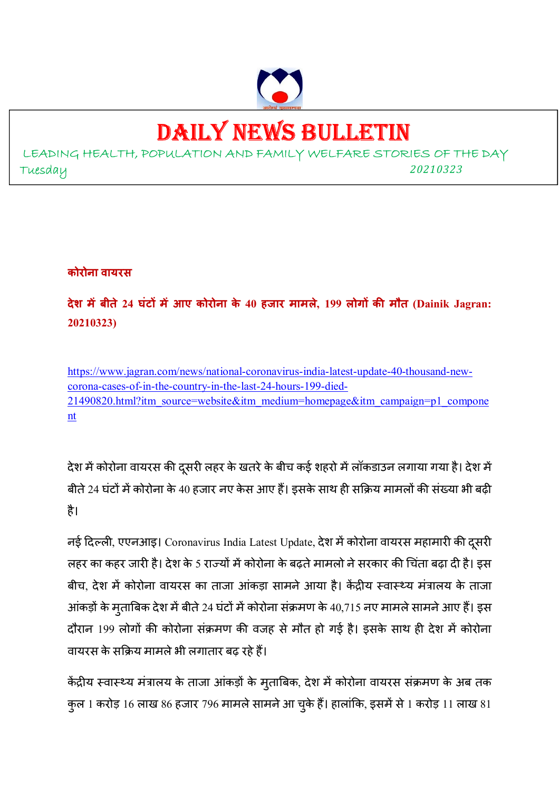

## DAILY NEWS BULLETIN

LEADING HEALTH, POPULATION AND FAMILY WELFARE STORIES OF THE DAY Tuesday *<sup>20210323</sup>*

**कोरोना वायरस** 

**देश मबीते 24 घंट मआए कोरोना के 40 हजार मामले, 199 लोग क मौत (Dainik Jagran: 20210323)** 

https://www.jagran.com/news/national-coronavirus-india-latest-update-40-thousand-newcorona-cases-of-in-the-country-in-the-last-24-hours-199-died-21490820.html?itm\_source=website&itm\_medium=homepage&itm\_campaign=p1\_compone nt

देश में कोरोना वायरस की दसरी लहर के खतरे के बीच कई शहरो में लॉकडाउन लगाया गया है। देश में बीते 24 घंटों में कोरोना के 40 हजार नए केस आए हैं। इसके साथ ही सक्रिय मामलों की संख्या भी बढ़ी है।

नई दिल्ली, एएनआइ। Coronavirus India Latest Update, देश में कोरोना वायरस महामारी की दूसरी लहर का कहर जारी है। देश के 5 राज्यों में कोरोना के बढ़ते मामलो ने सरकार की चिंता बढ़ा दी है। इस बीच, देश में कोरोना वायरस का ताजा आंकड़ा सामने आया है। केंद्रीय स्वास्थ्य मंत्रालय के ताजा आंकड़ों के मुताबिक देश में बीते 24 घंटों में कोरोना संक्रमण के 40,715 नए मामले सामने आए हैं। इस दौरान 199 लोगों की कोरोना संक्रमण की वजह से मौत हो गई है। इसके साथ ही देश में कोरोना वायरस के सक्रिय मामले भी लगातार बढ़ रहे हैं।

केंद्रीय स्वास्थ्य मंत्रालय के ताजा आंकड़ों के मुताबिक, देश में कोरोना वायरस संक्रमण के अब तक कुल 1 करोड़ 16 लाख 86 हजार 796 मामले सामने आ चुके हैं। हालांकि, इसमें से 1 करोड़ 11 लाख 81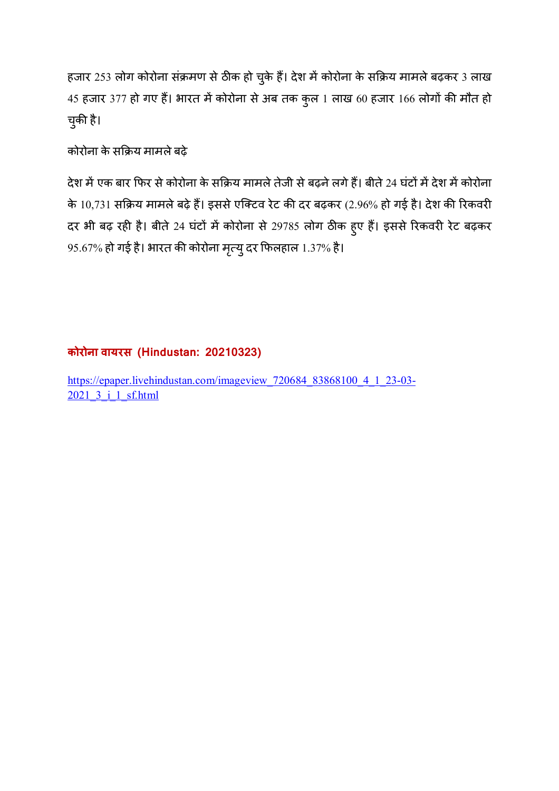हजार 253 लोग कोरोना संक्रमण से ठीक हो चुके हैं। देश में कोरोना के सक्रिय मामले बढ़कर 3 लाख  $45$  हजार 377 हो गए हैं। भारत में कोरोना से अब तक कुल 1 लाख 60 हजार 166 लोगों की मौत हो चुकी है।

#### कोरोना के सक्रिय मामले बढ़े

देश में एक बार फिर से कोरोना के सक्रिय मामले तेजी से बढ़ने लगे हैं। बीते 24 घंटों में देश में कोरोना के 10,731 सक्रिय मामले बढ़े हैं। इससे एक्टिव रेट की दर बढ़कर (2.96% हो गई है। देश की रिकवरी दर भी बढ़ रही है। बीते 24 घंटों में कोरोना से 29785 लोग ठीक हुए हैं। इससे रिकवरी रेट बढ़कर  $95.67%$  हो गई है। भारत की कोरोना मृत्यु दर फिलहाल 1.37% है।

#### **कोरोना वायरस (Hindustan: 20210323)**

https://epaper.livehindustan.com/imageview\_720684\_83868100\_4\_1\_23-03-2021\_3\_i\_1\_sf.html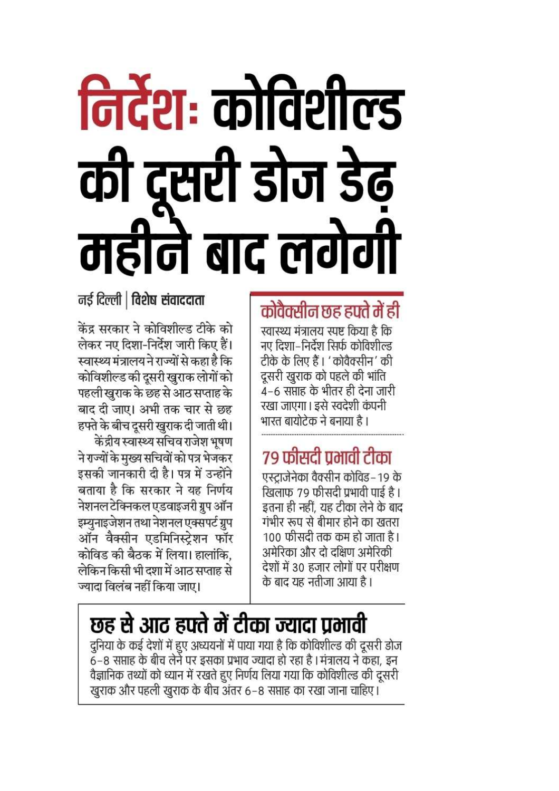# निर्देशः कोविशील्ड की दुसरी डोज डेढ़ महाने बाद लगेगी

## कोवैक्सीन छह हफ्ते में ही

स्वास्थ्य मंत्रालय स्पष्ट किया है कि नए दिशा–निर्देश सिर्फ कोविशील्ड टीके के लिए हैं। 'कोवैक्सीन' की दूसरी खुराक को पहले की भांति 4–6 सप्ताह के भीतर ही देना जारी रखा जाएगा। इसे स्वदेशी कंपनी भारत बायोटेक ने बनाया है ।

## ७९ फीसदी प्रभावी टीका

एस्टाजेनेका वैक्सीन कोविड–19 के खिलाफ 79 फीसदी प्रभावी पाई है। इतना ही नहीं. यह टीका लेने के बाद गंभीर रूप से बीमार होने का खतरा 100 फीसदी तक कम हो जाता है। अमेरिका और दो दक्षिण अमेरिकी देशों में 30 हजार लोगों पर परीक्षण के बाद यह नतीजा आया है ।

### नई दिल्ली | विशेष संवाददाता

केंद्र सरकार ने कोविशील्ड टीके को लेकर नए दिशा-निर्देश जारी किए हैं। स्वास्थ्य मंत्रालय ने राज्यों से कहा है कि कोविशील्ड की दुसरी खुराक लोगों को पहली खुराक के छह से आठ सप्ताह के बाद दी जाए। अभी तक चार से छह हफ्ते के बीच दुसरी खुराक दी जाती थी। केंद्रीय स्वास्थ्य सचिव राजेश भूषण

ने राज्यों के मुख्य सचिवों को पत्र भेजकर इसकी जानकारी दी है। पत्र में उन्होंने बताया है कि सरकार ने यह निर्णय नेशनल टेक्निकल एडवाइजरी ग्रुप ऑन इम्युनाइजेशन तथा नेशनल एक्सपर्ट ग्रुप ऑन वैक्सीन एडमिनिस्ट्रेशन फॉर कोविड की बैठक में लिया। हालांकि. लेकिन किसी भी दशा में आठ सप्ताह से ज्यादा विलंब नहीं किया जाए।

## छह से आट हफ्ते में टीका ज्यादा प्रभावी

दुनिया के कई देशों में हुए अध्ययनों में पाया गया है कि कोविशील्ड की दूसरी डोज 6-8 सप्ताह के बीच लेने पर इसका प्रभाव ज्यादा हो रहा है। मंत्रालय ने कहा, इन वैज्ञानिक तथ्यों को ध्यान में रखते हुए निर्णय लिया गया कि कोविशील्ड की दूसरी खुराक और पहली खुराक के बीच अंतर 6–8 सप्ताह का रखा जाना चाहिए।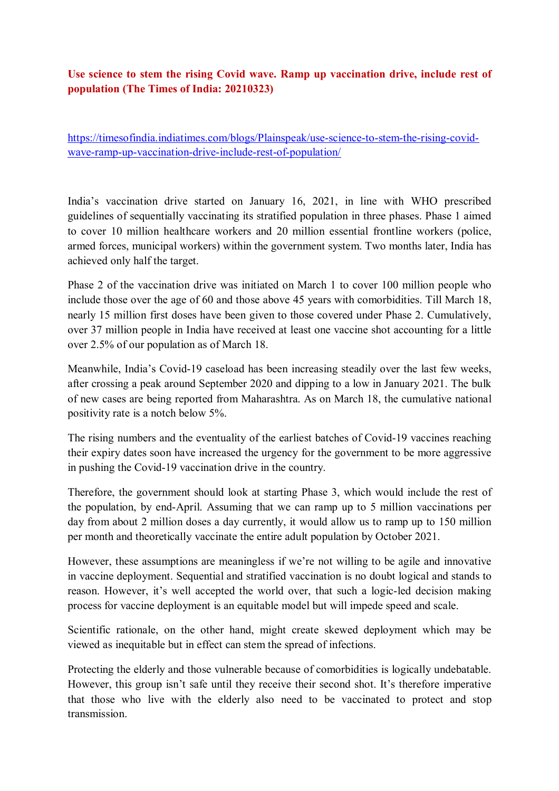#### **Use science to stem the rising Covid wave. Ramp up vaccination drive, include rest of population (The Times of India: 20210323)**

https://timesofindia.indiatimes.com/blogs/Plainspeak/use-science-to-stem-the-rising-covidwave-ramp-up-vaccination-drive-include-rest-of-population/

India's vaccination drive started on January 16, 2021, in line with WHO prescribed guidelines of sequentially vaccinating its stratified population in three phases. Phase 1 aimed to cover 10 million healthcare workers and 20 million essential frontline workers (police, armed forces, municipal workers) within the government system. Two months later, India has achieved only half the target.

Phase 2 of the vaccination drive was initiated on March 1 to cover 100 million people who include those over the age of 60 and those above 45 years with comorbidities. Till March 18, nearly 15 million first doses have been given to those covered under Phase 2. Cumulatively, over 37 million people in India have received at least one vaccine shot accounting for a little over 2.5% of our population as of March 18.

Meanwhile, India's Covid-19 caseload has been increasing steadily over the last few weeks, after crossing a peak around September 2020 and dipping to a low in January 2021. The bulk of new cases are being reported from Maharashtra. As on March 18, the cumulative national positivity rate is a notch below 5%.

The rising numbers and the eventuality of the earliest batches of Covid-19 vaccines reaching their expiry dates soon have increased the urgency for the government to be more aggressive in pushing the Covid-19 vaccination drive in the country.

Therefore, the government should look at starting Phase 3, which would include the rest of the population, by end-April. Assuming that we can ramp up to 5 million vaccinations per day from about 2 million doses a day currently, it would allow us to ramp up to 150 million per month and theoretically vaccinate the entire adult population by October 2021.

However, these assumptions are meaningless if we're not willing to be agile and innovative in vaccine deployment. Sequential and stratified vaccination is no doubt logical and stands to reason. However, it's well accepted the world over, that such a logic-led decision making process for vaccine deployment is an equitable model but will impede speed and scale.

Scientific rationale, on the other hand, might create skewed deployment which may be viewed as inequitable but in effect can stem the spread of infections.

Protecting the elderly and those vulnerable because of comorbidities is logically undebatable. However, this group isn't safe until they receive their second shot. It's therefore imperative that those who live with the elderly also need to be vaccinated to protect and stop transmission.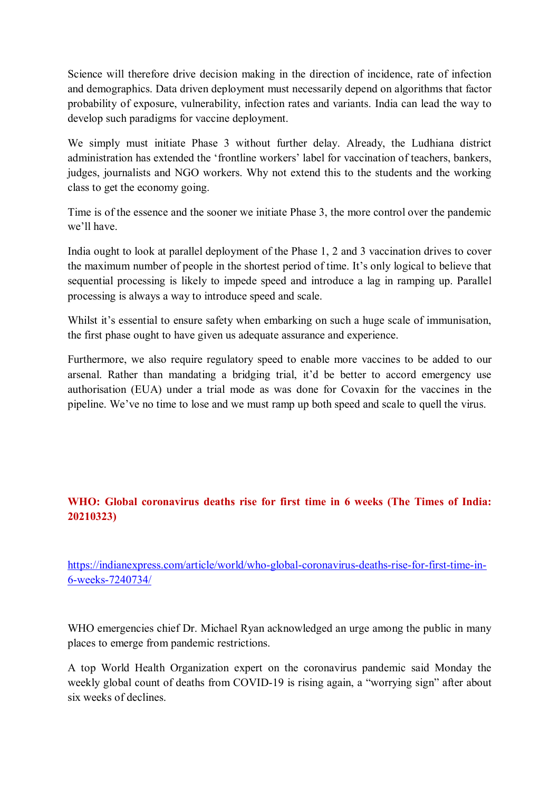Science will therefore drive decision making in the direction of incidence, rate of infection and demographics. Data driven deployment must necessarily depend on algorithms that factor probability of exposure, vulnerability, infection rates and variants. India can lead the way to develop such paradigms for vaccine deployment.

We simply must initiate Phase 3 without further delay. Already, the Ludhiana district administration has extended the 'frontline workers' label for vaccination of teachers, bankers, judges, journalists and NGO workers. Why not extend this to the students and the working class to get the economy going.

Time is of the essence and the sooner we initiate Phase 3, the more control over the pandemic we'll have.

India ought to look at parallel deployment of the Phase 1, 2 and 3 vaccination drives to cover the maximum number of people in the shortest period of time. It's only logical to believe that sequential processing is likely to impede speed and introduce a lag in ramping up. Parallel processing is always a way to introduce speed and scale.

Whilst it's essential to ensure safety when embarking on such a huge scale of immunisation, the first phase ought to have given us adequate assurance and experience.

Furthermore, we also require regulatory speed to enable more vaccines to be added to our arsenal. Rather than mandating a bridging trial, it'd be better to accord emergency use authorisation (EUA) under a trial mode as was done for Covaxin for the vaccines in the pipeline. We've no time to lose and we must ramp up both speed and scale to quell the virus.

#### **WHO: Global coronavirus deaths rise for first time in 6 weeks (The Times of India: 20210323)**

https://indianexpress.com/article/world/who-global-coronavirus-deaths-rise-for-first-time-in-6-weeks-7240734/

WHO emergencies chief Dr. Michael Ryan acknowledged an urge among the public in many places to emerge from pandemic restrictions.

A top World Health Organization expert on the coronavirus pandemic said Monday the weekly global count of deaths from COVID-19 is rising again, a "worrying sign" after about six weeks of declines.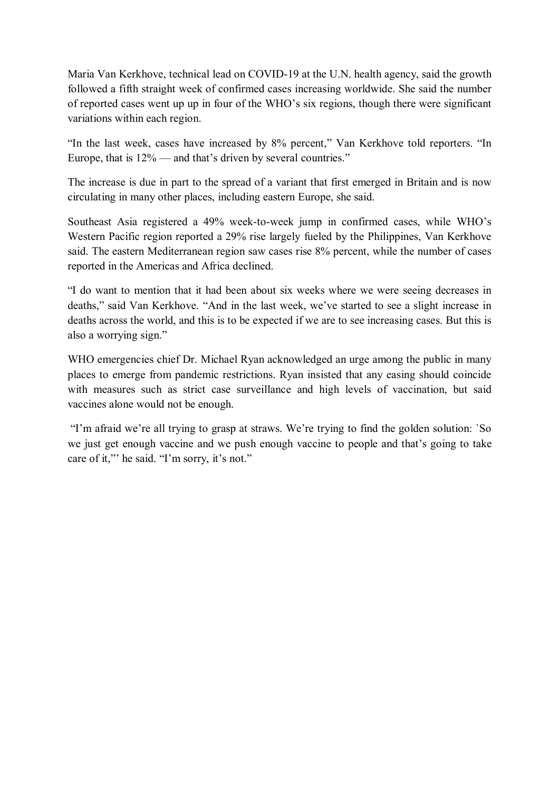Maria Van Kerkhove, technical lead on COVID-19 at the U.N. health agency, said the growth followed a fifth straight week of confirmed cases increasing worldwide. She said the number of reported cases went up up in four of the WHO's six regions, though there were significant variations within each region.

"In the last week, cases have increased by 8% percent," Van Kerkhove told reporters. "In Europe, that is 12% — and that's driven by several countries."

The increase is due in part to the spread of a variant that first emerged in Britain and is now circulating in many other places, including eastern Europe, she said.

Southeast Asia registered a 49% week-to-week jump in confirmed cases, while WHO's Western Pacific region reported a 29% rise largely fueled by the Philippines, Van Kerkhove said. The eastern Mediterranean region saw cases rise 8% percent, while the number of cases reported in the Americas and Africa declined.

"I do want to mention that it had been about six weeks where we were seeing decreases in deaths," said Van Kerkhove. "And in the last week, we've started to see a slight increase in deaths across the world, and this is to be expected if we are to see increasing cases. But this is also a worrying sign."

WHO emergencies chief Dr. Michael Ryan acknowledged an urge among the public in many places to emerge from pandemic restrictions. Ryan insisted that any easing should coincide with measures such as strict case surveillance and high levels of vaccination, but said vaccines alone would not be enough.

 "I'm afraid we're all trying to grasp at straws. We're trying to find the golden solution: `So we just get enough vaccine and we push enough vaccine to people and that's going to take care of it," he said. "I'm sorry, it's not."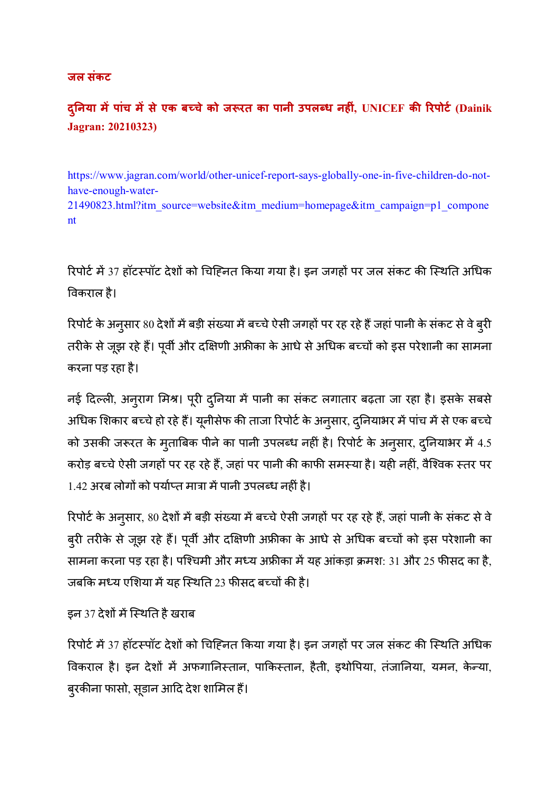#### **जल संकट**

**द.नया ु मपांच मसेएक ब1चेको ज2रत का पानी उपल4ध नह6ं, UNICEF क 7रपोट8 (Dainik Jagran: 20210323)** 

https://www.jagran.com/world/other-unicef-report-says-globally-one-in-five-children-do-nothave-enough-water-21490823.html?itm\_source=website&itm\_medium=homepage&itm\_campaign=p1\_compone nt

रिपोर्ट में 37 हॉटस्पॉट देशों को चिहिनत किया गया है। इन जगहों पर जल संकट की स्थिति अधिक Jवकराल है।

रिपोर्ट के अनुसार 80 देशों में बड़ी संख्या में बच्चे ऐसी जगहों पर रह रहे हैं जहां पानी के संकट से वे बुरी तरीके से जूझ रहे हैं। पूर्वी और दक्षिणी अफ्रीका के आधे से अधिक बच्चों को इस परेशानी का सामना करना पड़ रहा है।

नई दिल्ली, अनुराग मिश्र। पूरी दुनिया में पानी का संकट लगातार बढ़ता जा रहा है। इसके सबसे अधिक शिकार बच्चे हो रहे हैं। यूनीसेफ की ताजा रिपोर्ट के अनुसार, दुनियाभर में पांच में से एक बच्चे को उसकी जरूरत के मुताबिक पीने का पानी उपलब्ध नहीं है। रिपोर्ट के अनुसार, दुनियाभर में 4.5 करोड़ बच्चे ऐसी जगहों पर रह रहे हैं, जहां पर पानी की काफी समस्या है। यही नहीं, वैश्विक स्तर पर  $1.42$  अरब लोगों को पर्याप्त मात्रा में पानी उपलब्ध नहीं है।

रिपोर्ट के अनुसार, 80 देशों में बड़ी संख्या में बच्चे ऐसी जगहों पर रह रहे हैं, जहां पानी के संकट से वे बुरी तरीके से जूझ रहे हैं। पूर्वी और दक्षिणी अफ्रीका के आधे से अधिक बच्चों को इस परेशानी का सामना करना पड़ रहा है। पश्चिमी और मध्य अफ्रीका में यह आंकड़ा क्रमश: 31 और 25 फीसद का है, जबकि मध्य एशिया में यह स्थिति 23 फीसद बच्चों की है।

डन 37 देशों में स्थिति है खराब

रिपोर्ट में 37 हॉटस्पॉट देशों को चिहिनत किया गया है। इन जगहों पर जल संकट की स्थिति अधिक विकराल है। इन देशों में अफगानिस्तान, पाकिस्तान, हैती, इथोपिया, तंजानिया, यमन, केन्या, बुरकीना फासो, सूडान आदि देश शामिल हैं।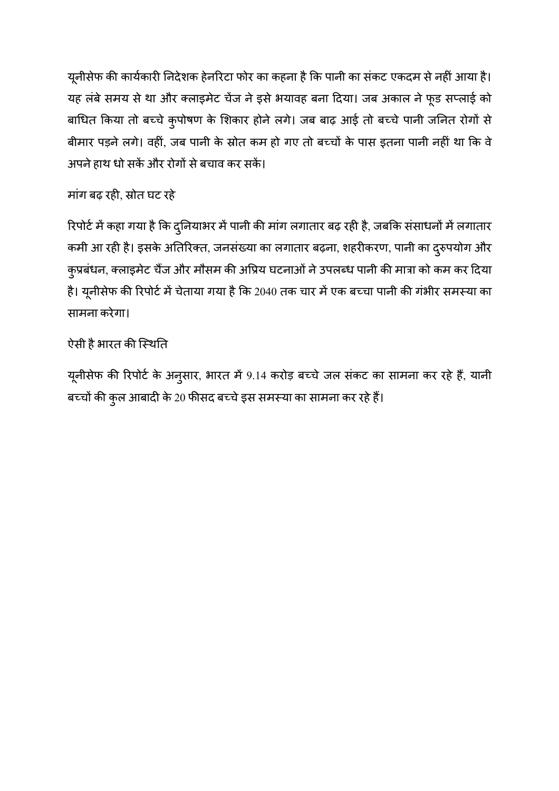यूनीसेफ की कार्यकारी निदेशक हेनरिटा फोर का कहना है कि पानी का संकट एकदम से नहीं आया है। यह लंबे समय से था और क्लाइमेट चेंज ने इसे भयावह बना दिया। जब अकाल ने फूड सप्लाई को बाधित किया तो बच्चे कुपोषण के शिकार होने लगे। जब बाढ़ आई तो बच्चे पानी जनित रोगों से बीमार पड़ने लगे। वहीं, जब पानी के स्रोत कम हो गए तो बच्चों के पास इतना पानी नहीं था कि वे अपने हाथ धो सकें और रोगों से बचाव कर सकें।

#### मांग बढ़ रही, स्रोत घट रहे

रिपोर्ट में कहा गया है कि दुनियाभर में पानी की मांग लगातार बढ़ रही है, जबकि संसाधनों में लगातार कमी आ रही है। इसके अतिरिक्त, जनसंख्या का लगातार बढ़ना, शहरीकरण, पानी का दुरुपयोग और कुप्रबंधन, क्लाइमेट चैंज और मौसम की अप्रिय घटनाओं ने उपलब्ध पानी की मात्रा को कम कर दिया है। यूनीसेफ की रिपोर्ट में चेताया गया है कि 2040 तक चार में एक बच्चा पानी की गंभीर समस्या का सामना करेगा।

#### ऐसी है भारत की स्थिति

यूनीसेफ की रिपोर्ट के अनुसार, भारत में 9.14 करोड़ बच्चे जल संकट का सामना कर रहे हैं, यानी बच्चों की कुल आबादी के 20 फीसद बच्चे इस समस्या का सामना कर रहे हैं।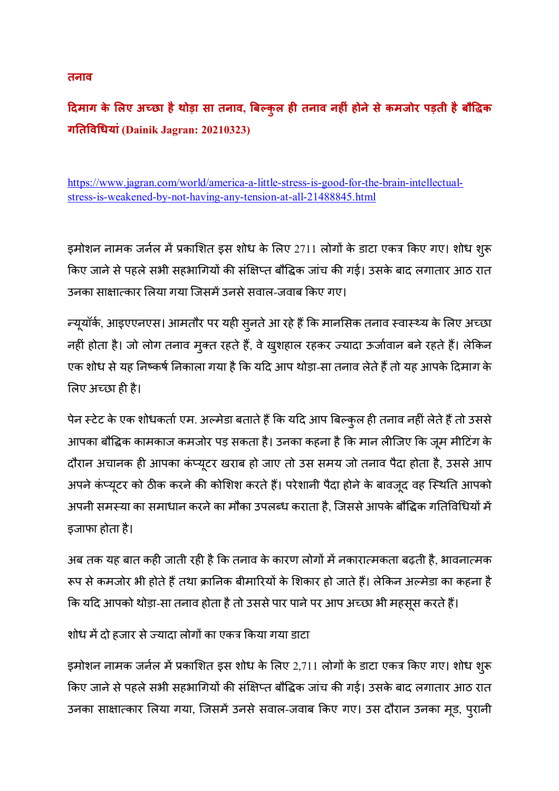**तनाव**

**9दमाग के :लए अ1छा हैथोड़ा सा तनाव, @बAकुल ह6 तनाव नह6ं होनेसेकमजोर पड़ती हैबौBCक ग.तBवDधयां (Dainik Jagran: 20210323)** 

https://www.jagran.com/world/america-a-little-stress-is-good-for-the-brain-intellectualstress-is-weakened-by-not-having-any-tension-at-all-21488845.html

इमोशन नामक जर्नल में प्रकाशित इस शोध के लिए 2711 लोगों के डाटा एकत्र किए गए। शोध शुरू किए जाने से पहले सभी सहभागियों की संक्षिप्त बौद्धिक जांच की गई। उसके बाद लगातार आठ रात उनका साक्षात्कार लिया गया जिसमें उनसे सवाल-जवाब किए गए।

न्यूयॉर्क, आइएएनएस। आमतौर पर यही सुनते आ रहे हैं कि मानसिक तनाव स्वास्थ्य के लिए अच्छा नहीं होता है। जो लोग तनाव मुक्त रहते हैं, वे खुशहाल रहकर ज्यादा ऊर्जावान बने रहते हैं। लेकिन एक शोध से यह निष्कर्ष निकाला गया है कि यदि आप थोड़ा-सा तनाव लेते हैं तो यह आपके दिमाग के लिए अच्छा ही है।

पेन स्टेट के एक शोधकर्ता एम. अल्मेडा बताते हैं कि यदि आप बिल्कुल ही तनाव नहीं लेते हैं तो उससे आपका बौद्धिक कामकाज कमजोर पड़ सकता है। उनका कहना है कि मान लीजिए कि जूम मीटिंग के दौरान अचानक ही आपका कंप्यूटर खराब हो जाए तो उस समय जो तनाव पैदा होता है, उससे आप अपने कंप्यूटर को ठीक करने की कोशिश करते हैं। परेशानी पैदा होने के बावजूद वह स्थिति आपको अपनी समस्या का समाधान करने का मौका उपलब्ध कराता है, जिससे आपके बौद्धिक गतिविधियों में इजाफा होता है।

अब तक यह बात कही जाती रही है कि तनाव के कारण लोगों में नकारात्मकता बढ़ती है, भावनात्मक रूप से कमजोर भी होते हैं तथा क्रानिक बीमारियों के शिकार हो जाते हैं। लेकिन अल्मेडा का कहना है कि यदि आपको थोड़ा-सा तनाव होता है तो उससे पार पाने पर आप अच्छा भी महसूस करते हैं।

शोध में दो हजार से ज्यादा लोगों का एकत्र किया गया डाटा

इमोशन नामक जर्नल में प्रकाशित इस शोध के लिए 2,711 लोगों के डाटा एकत्र किए गए। शोध शुरू किए जाने से पहले सभी सहभागियों की संक्षिप्त बौद्धिक जांच की गई। उसके बाद लगातार आठ रात उनका साक्षात्कार लिया गया, जिसमें उनसे सवाल-जवाब किए गए। उस दौरान उनका मूड, पुरानी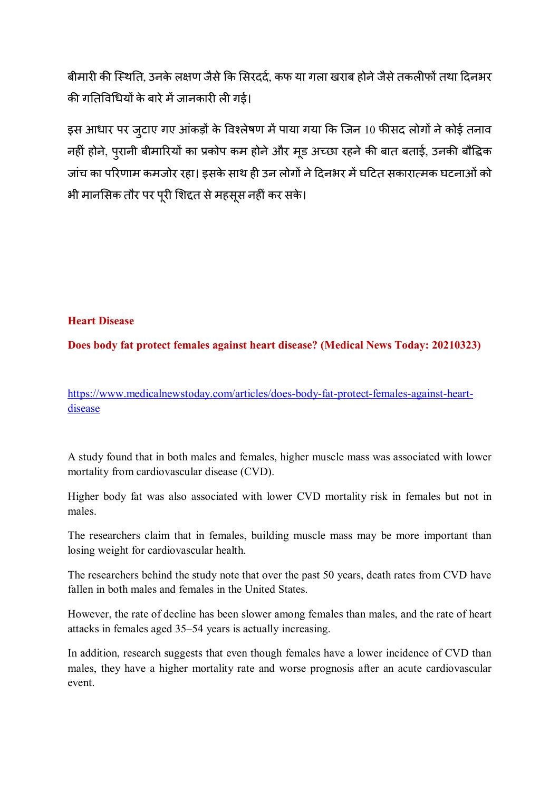बीमारी की स्थिति, उनके लक्षण जैसे कि सिरदर्द, कफ या गला खराब होने जैसे तकलीफों तथा दिनभर की गतिविधियों के बारे में जानकारी ली गई।

इस आधार पर जुटाए गए आंकड़ों के विश्लेषण में पाया गया कि जिन 10 फीसद लोगों ने कोई तनाव नहीं होने, पुरानी बीमारियों का प्रकोप कम होने और मुड अच्छा रहने की बात बताई, उनकी बौद्धिक जांच का परिणाम कमजोर रहा। इसके साथ ही उन लोगों ने दिनभर में घटित सकारात्मक घटनाओं को भी मानसिक तौर पर पूरी शिद्दत से महसूस नहीं कर सके।

#### **Heart Disease**

**Does body fat protect females against heart disease? (Medical News Today: 20210323)** 

https://www.medicalnewstoday.com/articles/does-body-fat-protect-females-against-heartdisease

A study found that in both males and females, higher muscle mass was associated with lower mortality from cardiovascular disease (CVD).

Higher body fat was also associated with lower CVD mortality risk in females but not in males.

The researchers claim that in females, building muscle mass may be more important than losing weight for cardiovascular health.

The researchers behind the study note that over the past 50 years, death rates from CVD have fallen in both males and females in the United States.

However, the rate of decline has been slower among females than males, and the rate of heart attacks in females aged 35–54 years is actually increasing.

In addition, research suggests that even though females have a lower incidence of CVD than males, they have a higher mortality rate and worse prognosis after an acute cardiovascular event.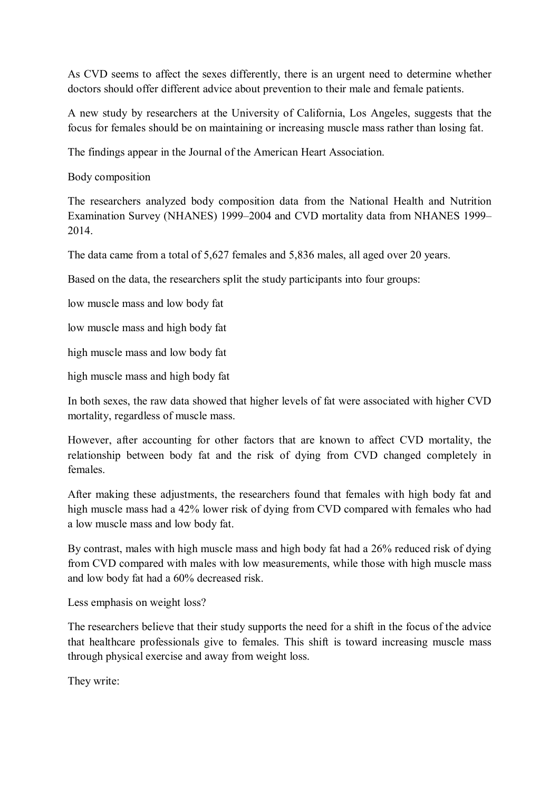As CVD seems to affect the sexes differently, there is an urgent need to determine whether doctors should offer different advice about prevention to their male and female patients.

A new study by researchers at the University of California, Los Angeles, suggests that the focus for females should be on maintaining or increasing muscle mass rather than losing fat.

The findings appear in the Journal of the American Heart Association.

Body composition

The researchers analyzed body composition data from the National Health and Nutrition Examination Survey (NHANES) 1999–2004 and CVD mortality data from NHANES 1999– 2014.

The data came from a total of 5,627 females and 5,836 males, all aged over 20 years.

Based on the data, the researchers split the study participants into four groups:

low muscle mass and low body fat

low muscle mass and high body fat

high muscle mass and low body fat

high muscle mass and high body fat

In both sexes, the raw data showed that higher levels of fat were associated with higher CVD mortality, regardless of muscle mass.

However, after accounting for other factors that are known to affect CVD mortality, the relationship between body fat and the risk of dying from CVD changed completely in females.

After making these adjustments, the researchers found that females with high body fat and high muscle mass had a 42% lower risk of dying from CVD compared with females who had a low muscle mass and low body fat.

By contrast, males with high muscle mass and high body fat had a 26% reduced risk of dying from CVD compared with males with low measurements, while those with high muscle mass and low body fat had a 60% decreased risk.

Less emphasis on weight loss?

The researchers believe that their study supports the need for a shift in the focus of the advice that healthcare professionals give to females. This shift is toward increasing muscle mass through physical exercise and away from weight loss.

They write: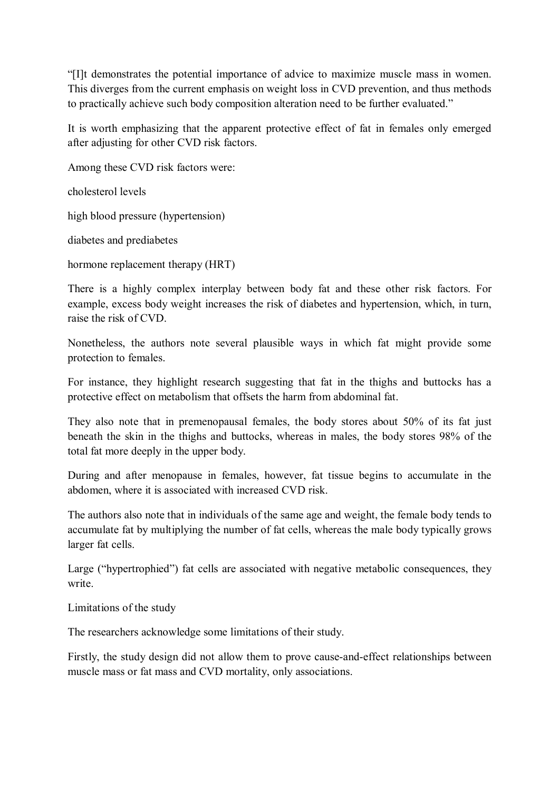"[I]t demonstrates the potential importance of advice to maximize muscle mass in women. This diverges from the current emphasis on weight loss in CVD prevention, and thus methods to practically achieve such body composition alteration need to be further evaluated."

It is worth emphasizing that the apparent protective effect of fat in females only emerged after adjusting for other CVD risk factors.

Among these CVD risk factors were:

cholesterol levels

high blood pressure (hypertension)

diabetes and prediabetes

hormone replacement therapy (HRT)

There is a highly complex interplay between body fat and these other risk factors. For example, excess body weight increases the risk of diabetes and hypertension, which, in turn, raise the risk of CVD.

Nonetheless, the authors note several plausible ways in which fat might provide some protection to females.

For instance, they highlight research suggesting that fat in the thighs and buttocks has a protective effect on metabolism that offsets the harm from abdominal fat.

They also note that in premenopausal females, the body stores about 50% of its fat just beneath the skin in the thighs and buttocks, whereas in males, the body stores 98% of the total fat more deeply in the upper body.

During and after menopause in females, however, fat tissue begins to accumulate in the abdomen, where it is associated with increased CVD risk.

The authors also note that in individuals of the same age and weight, the female body tends to accumulate fat by multiplying the number of fat cells, whereas the male body typically grows larger fat cells.

Large ("hypertrophied") fat cells are associated with negative metabolic consequences, they write.

Limitations of the study

The researchers acknowledge some limitations of their study.

Firstly, the study design did not allow them to prove cause-and-effect relationships between muscle mass or fat mass and CVD mortality, only associations.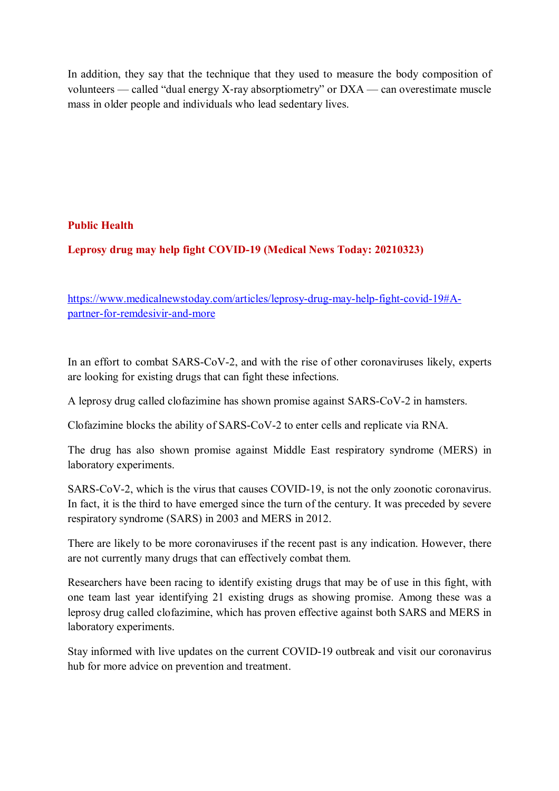In addition, they say that the technique that they used to measure the body composition of volunteers — called "dual energy X‐ray absorptiometry" or DXA — can overestimate muscle mass in older people and individuals who lead sedentary lives.

#### **Public Health**

**Leprosy drug may help fight COVID-19 (Medical News Today: 20210323)** 

https://www.medicalnewstoday.com/articles/leprosy-drug-may-help-fight-covid-19#Apartner-for-remdesivir-and-more

In an effort to combat SARS-CoV-2, and with the rise of other coronaviruses likely, experts are looking for existing drugs that can fight these infections.

A leprosy drug called clofazimine has shown promise against SARS-CoV-2 in hamsters.

Clofazimine blocks the ability of SARS-CoV-2 to enter cells and replicate via RNA.

The drug has also shown promise against Middle East respiratory syndrome (MERS) in laboratory experiments.

SARS-CoV-2, which is the virus that causes COVID-19, is not the only zoonotic coronavirus. In fact, it is the third to have emerged since the turn of the century. It was preceded by severe respiratory syndrome (SARS) in 2003 and MERS in 2012.

There are likely to be more coronaviruses if the recent past is any indication. However, there are not currently many drugs that can effectively combat them.

Researchers have been racing to identify existing drugs that may be of use in this fight, with one team last year identifying 21 existing drugs as showing promise. Among these was a leprosy drug called clofazimine, which has proven effective against both SARS and MERS in laboratory experiments.

Stay informed with live updates on the current COVID-19 outbreak and visit our coronavirus hub for more advice on prevention and treatment.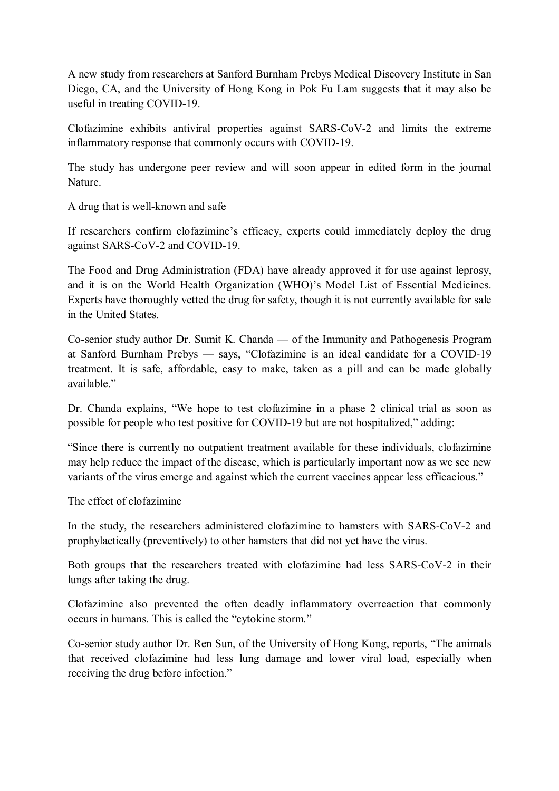A new study from researchers at Sanford Burnham Prebys Medical Discovery Institute in San Diego, CA, and the University of Hong Kong in Pok Fu Lam suggests that it may also be useful in treating COVID-19.

Clofazimine exhibits antiviral properties against SARS-CoV-2 and limits the extreme inflammatory response that commonly occurs with COVID-19.

The study has undergone peer review and will soon appear in edited form in the journal Nature.

A drug that is well-known and safe

If researchers confirm clofazimine's efficacy, experts could immediately deploy the drug against SARS-CoV-2 and COVID-19.

The Food and Drug Administration (FDA) have already approved it for use against leprosy, and it is on the World Health Organization (WHO)'s Model List of Essential Medicines. Experts have thoroughly vetted the drug for safety, though it is not currently available for sale in the United States.

Co-senior study author Dr. Sumit K. Chanda — of the Immunity and Pathogenesis Program at Sanford Burnham Prebys — says, "Clofazimine is an ideal candidate for a COVID-19 treatment. It is safe, affordable, easy to make, taken as a pill and can be made globally available"

Dr. Chanda explains, "We hope to test clofazimine in a phase 2 clinical trial as soon as possible for people who test positive for COVID-19 but are not hospitalized," adding:

"Since there is currently no outpatient treatment available for these individuals, clofazimine may help reduce the impact of the disease, which is particularly important now as we see new variants of the virus emerge and against which the current vaccines appear less efficacious."

The effect of clofazimine

In the study, the researchers administered clofazimine to hamsters with SARS-CoV-2 and prophylactically (preventively) to other hamsters that did not yet have the virus.

Both groups that the researchers treated with clofazimine had less SARS-CoV-2 in their lungs after taking the drug.

Clofazimine also prevented the often deadly inflammatory overreaction that commonly occurs in humans. This is called the "cytokine storm."

Co-senior study author Dr. Ren Sun, of the University of Hong Kong, reports, "The animals that received clofazimine had less lung damage and lower viral load, especially when receiving the drug before infection."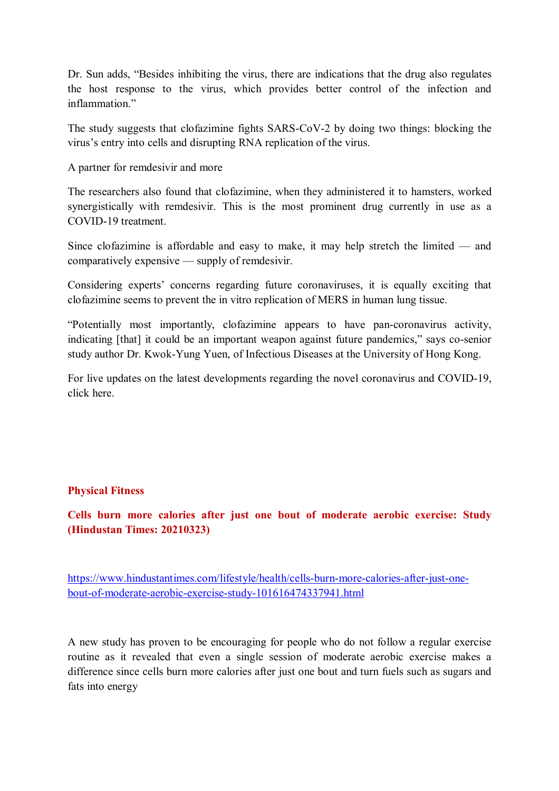Dr. Sun adds, "Besides inhibiting the virus, there are indications that the drug also regulates the host response to the virus, which provides better control of the infection and inflammation"

The study suggests that clofazimine fights SARS-CoV-2 by doing two things: blocking the virus's entry into cells and disrupting RNA replication of the virus.

A partner for remdesivir and more

The researchers also found that clofazimine, when they administered it to hamsters, worked synergistically with remdesivir. This is the most prominent drug currently in use as a COVID-19 treatment.

Since clofazimine is affordable and easy to make, it may help stretch the limited — and comparatively expensive — supply of remdesivir.

Considering experts' concerns regarding future coronaviruses, it is equally exciting that clofazimine seems to prevent the in vitro replication of MERS in human lung tissue.

"Potentially most importantly, clofazimine appears to have pan-coronavirus activity, indicating [that] it could be an important weapon against future pandemics," says co-senior study author Dr. Kwok-Yung Yuen, of Infectious Diseases at the University of Hong Kong.

For live updates on the latest developments regarding the novel coronavirus and COVID-19, click here.

#### **Physical Fitness**

**Cells burn more calories after just one bout of moderate aerobic exercise: Study (Hindustan Times: 20210323)** 

https://www.hindustantimes.com/lifestyle/health/cells-burn-more-calories-after-just-onebout-of-moderate-aerobic-exercise-study-101616474337941.html

A new study has proven to be encouraging for people who do not follow a regular exercise routine as it revealed that even a single session of moderate aerobic exercise makes a difference since cells burn more calories after just one bout and turn fuels such as sugars and fats into energy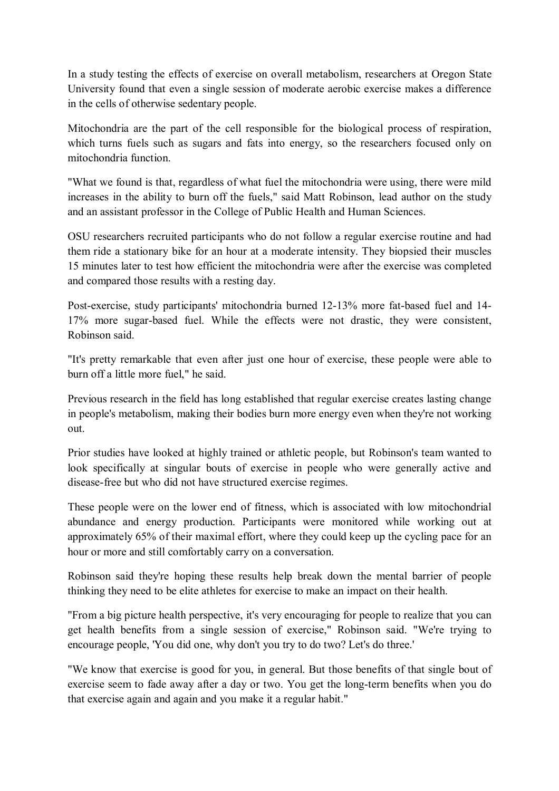In a study testing the effects of exercise on overall metabolism, researchers at Oregon State University found that even a single session of moderate aerobic exercise makes a difference in the cells of otherwise sedentary people.

Mitochondria are the part of the cell responsible for the biological process of respiration, which turns fuels such as sugars and fats into energy, so the researchers focused only on mitochondria function.

"What we found is that, regardless of what fuel the mitochondria were using, there were mild increases in the ability to burn off the fuels," said Matt Robinson, lead author on the study and an assistant professor in the College of Public Health and Human Sciences.

OSU researchers recruited participants who do not follow a regular exercise routine and had them ride a stationary bike for an hour at a moderate intensity. They biopsied their muscles 15 minutes later to test how efficient the mitochondria were after the exercise was completed and compared those results with a resting day.

Post-exercise, study participants' mitochondria burned 12-13% more fat-based fuel and 14- 17% more sugar-based fuel. While the effects were not drastic, they were consistent, Robinson said.

"It's pretty remarkable that even after just one hour of exercise, these people were able to burn off a little more fuel," he said.

Previous research in the field has long established that regular exercise creates lasting change in people's metabolism, making their bodies burn more energy even when they're not working out.

Prior studies have looked at highly trained or athletic people, but Robinson's team wanted to look specifically at singular bouts of exercise in people who were generally active and disease-free but who did not have structured exercise regimes.

These people were on the lower end of fitness, which is associated with low mitochondrial abundance and energy production. Participants were monitored while working out at approximately 65% of their maximal effort, where they could keep up the cycling pace for an hour or more and still comfortably carry on a conversation.

Robinson said they're hoping these results help break down the mental barrier of people thinking they need to be elite athletes for exercise to make an impact on their health.

"From a big picture health perspective, it's very encouraging for people to realize that you can get health benefits from a single session of exercise," Robinson said. "We're trying to encourage people, 'You did one, why don't you try to do two? Let's do three.'

"We know that exercise is good for you, in general. But those benefits of that single bout of exercise seem to fade away after a day or two. You get the long-term benefits when you do that exercise again and again and you make it a regular habit."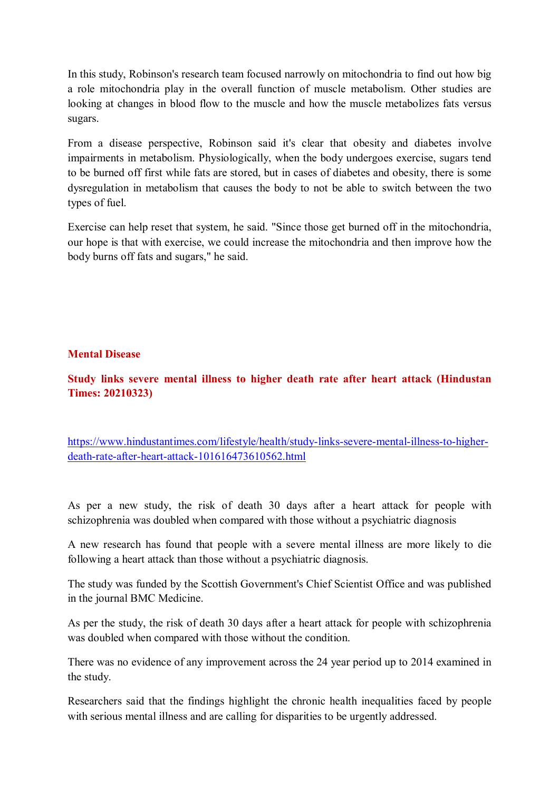In this study, Robinson's research team focused narrowly on mitochondria to find out how big a role mitochondria play in the overall function of muscle metabolism. Other studies are looking at changes in blood flow to the muscle and how the muscle metabolizes fats versus sugars.

From a disease perspective, Robinson said it's clear that obesity and diabetes involve impairments in metabolism. Physiologically, when the body undergoes exercise, sugars tend to be burned off first while fats are stored, but in cases of diabetes and obesity, there is some dysregulation in metabolism that causes the body to not be able to switch between the two types of fuel.

Exercise can help reset that system, he said. "Since those get burned off in the mitochondria, our hope is that with exercise, we could increase the mitochondria and then improve how the body burns off fats and sugars," he said.

#### **Mental Disease**

**Study links severe mental illness to higher death rate after heart attack (Hindustan Times: 20210323)** 

https://www.hindustantimes.com/lifestyle/health/study-links-severe-mental-illness-to-higherdeath-rate-after-heart-attack-101616473610562.html

As per a new study, the risk of death 30 days after a heart attack for people with schizophrenia was doubled when compared with those without a psychiatric diagnosis

A new research has found that people with a severe mental illness are more likely to die following a heart attack than those without a psychiatric diagnosis.

The study was funded by the Scottish Government's Chief Scientist Office and was published in the journal BMC Medicine.

As per the study, the risk of death 30 days after a heart attack for people with schizophrenia was doubled when compared with those without the condition.

There was no evidence of any improvement across the 24 year period up to 2014 examined in the study.

Researchers said that the findings highlight the chronic health inequalities faced by people with serious mental illness and are calling for disparities to be urgently addressed.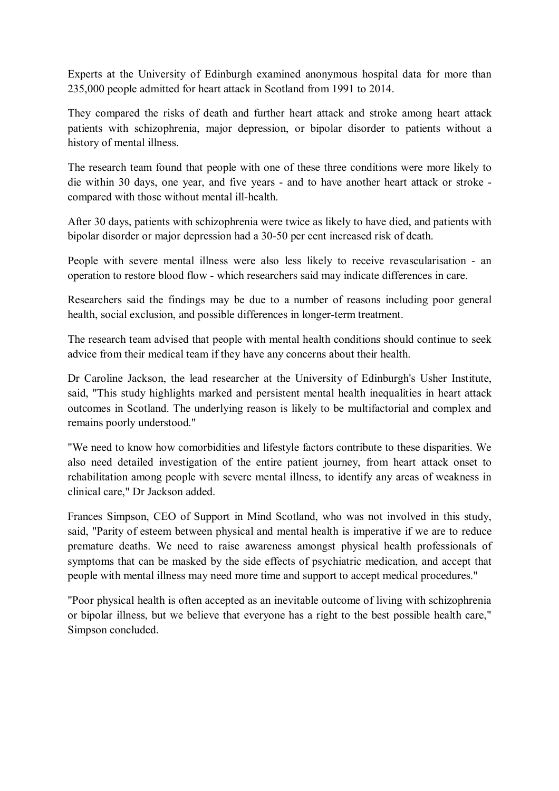Experts at the University of Edinburgh examined anonymous hospital data for more than 235,000 people admitted for heart attack in Scotland from 1991 to 2014.

They compared the risks of death and further heart attack and stroke among heart attack patients with schizophrenia, major depression, or bipolar disorder to patients without a history of mental illness.

The research team found that people with one of these three conditions were more likely to die within 30 days, one year, and five years - and to have another heart attack or stroke compared with those without mental ill-health.

After 30 days, patients with schizophrenia were twice as likely to have died, and patients with bipolar disorder or major depression had a 30-50 per cent increased risk of death.

People with severe mental illness were also less likely to receive revascularisation - an operation to restore blood flow - which researchers said may indicate differences in care.

Researchers said the findings may be due to a number of reasons including poor general health, social exclusion, and possible differences in longer-term treatment.

The research team advised that people with mental health conditions should continue to seek advice from their medical team if they have any concerns about their health.

Dr Caroline Jackson, the lead researcher at the University of Edinburgh's Usher Institute, said, "This study highlights marked and persistent mental health inequalities in heart attack outcomes in Scotland. The underlying reason is likely to be multifactorial and complex and remains poorly understood."

"We need to know how comorbidities and lifestyle factors contribute to these disparities. We also need detailed investigation of the entire patient journey, from heart attack onset to rehabilitation among people with severe mental illness, to identify any areas of weakness in clinical care," Dr Jackson added.

Frances Simpson, CEO of Support in Mind Scotland, who was not involved in this study, said, "Parity of esteem between physical and mental health is imperative if we are to reduce premature deaths. We need to raise awareness amongst physical health professionals of symptoms that can be masked by the side effects of psychiatric medication, and accept that people with mental illness may need more time and support to accept medical procedures."

"Poor physical health is often accepted as an inevitable outcome of living with schizophrenia or bipolar illness, but we believe that everyone has a right to the best possible health care," Simpson concluded.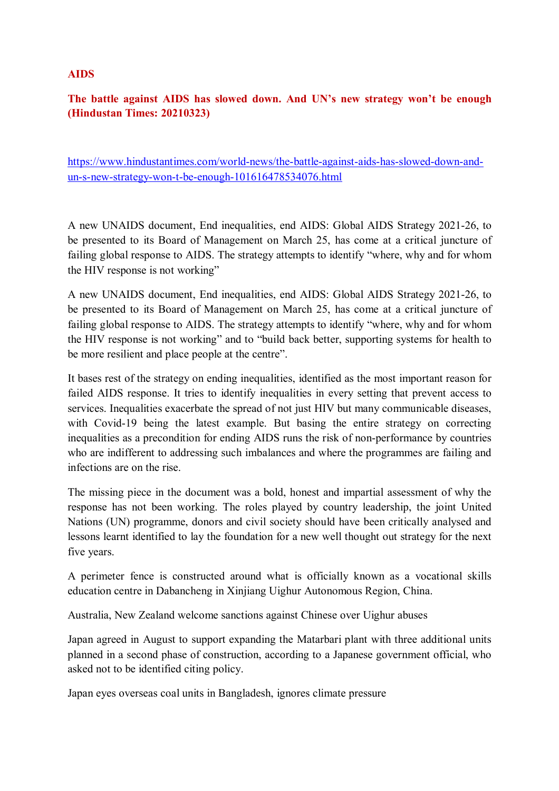#### **AIDS**

#### **The battle against AIDS has slowed down. And UN's new strategy won't be enough (Hindustan Times: 20210323)**

https://www.hindustantimes.com/world-news/the-battle-against-aids-has-slowed-down-andun-s-new-strategy-won-t-be-enough-101616478534076.html

A new UNAIDS document, End inequalities, end AIDS: Global AIDS Strategy 2021-26, to be presented to its Board of Management on March 25, has come at a critical juncture of failing global response to AIDS. The strategy attempts to identify "where, why and for whom the HIV response is not working"

A new UNAIDS document, End inequalities, end AIDS: Global AIDS Strategy 2021-26, to be presented to its Board of Management on March 25, has come at a critical juncture of failing global response to AIDS. The strategy attempts to identify "where, why and for whom the HIV response is not working" and to "build back better, supporting systems for health to be more resilient and place people at the centre".

It bases rest of the strategy on ending inequalities, identified as the most important reason for failed AIDS response. It tries to identify inequalities in every setting that prevent access to services. Inequalities exacerbate the spread of not just HIV but many communicable diseases, with Covid-19 being the latest example. But basing the entire strategy on correcting inequalities as a precondition for ending AIDS runs the risk of non-performance by countries who are indifferent to addressing such imbalances and where the programmes are failing and infections are on the rise.

The missing piece in the document was a bold, honest and impartial assessment of why the response has not been working. The roles played by country leadership, the joint United Nations (UN) programme, donors and civil society should have been critically analysed and lessons learnt identified to lay the foundation for a new well thought out strategy for the next five years.

A perimeter fence is constructed around what is officially known as a vocational skills education centre in Dabancheng in Xinjiang Uighur Autonomous Region, China.

Australia, New Zealand welcome sanctions against Chinese over Uighur abuses

Japan agreed in August to support expanding the Matarbari plant with three additional units planned in a second phase of construction, according to a Japanese government official, who asked not to be identified citing policy.

Japan eyes overseas coal units in Bangladesh, ignores climate pressure